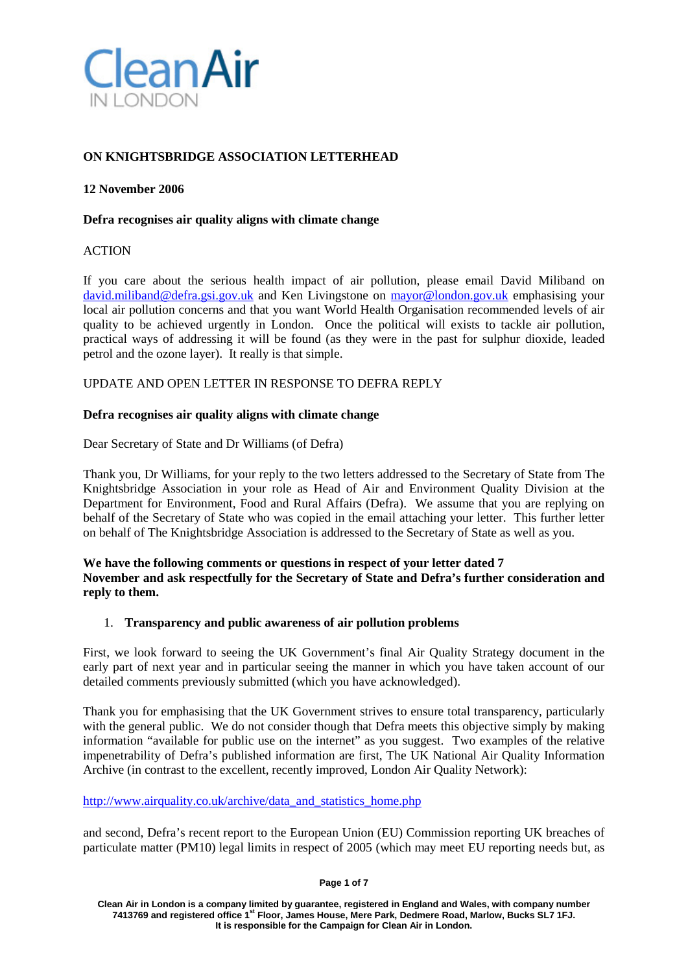

# **ON KNIGHTSBRIDGE ASSOCIATION LETTERHEAD**

#### **12 November 2006**

#### **Defra recognises air quality aligns with climate change**

#### **ACTION**

If you care about the serious health impact of air pollution, please email David Miliband on [david.miliband@defra.gsi.gov.uk](mailto:david.miliband@defra.gsi.gov.uk) and Ken Livingstone on [mayor@london.gov.uk](mailto:mayor@london.gov.uk) emphasising your local air pollution concerns and that you want World Health Organisation recommended levels of air quality to be achieved urgently in London. Once the political will exists to tackle air pollution, practical ways of addressing it will be found (as they were in the past for sulphur dioxide, leaded petrol and the ozone layer). It really is that simple.

UPDATE AND OPEN LETTER IN RESPONSE TO DEFRA REPLY

#### **Defra recognises air quality aligns with climate change**

Dear Secretary of State and Dr Williams (of Defra)

Thank you, Dr Williams, for your reply to the two letters addressed to the Secretary of State from The Knightsbridge Association in your role as Head of Air and Environment Quality Division at the Department for Environment, Food and Rural Affairs (Defra). We assume that you are replying on behalf of the Secretary of State who was copied in the email attaching your letter. This further letter on behalf of The Knightsbridge Association is addressed to the Secretary of State as well as you.

**We have the following comments or questions in respect of your letter dated 7 November and ask respectfully for the Secretary of State and Defra's further consideration and reply to them.**

#### 1. **Transparency and public awareness of air pollution problems**

First, we look forward to seeing the UK Government's final Air Quality Strategy document in the early part of next year and in particular seeing the manner in which you have taken account of our detailed comments previously submitted (which you have acknowledged).

Thank you for emphasising that the UK Government strives to ensure total transparency, particularly with the general public. We do not consider though that Defra meets this objective simply by making information "available for public use on the internet" as you suggest. Two examples of the relative impenetrability of Defra's published information are first, The UK National Air Quality Information Archive (in contrast to the excellent, recently improved, London Air Quality Network):

[http://www.airquality.co.uk/archive/data\\_and\\_statistics\\_home.php](http://www.airquality.co.uk/archive/data_and_statistics_home.php)

and second, Defra's recent report to the European Union (EU) Commission reporting UK breaches of particulate matter (PM10) legal limits in respect of 2005 (which may meet EU reporting needs but, as

**Page 1 of 7**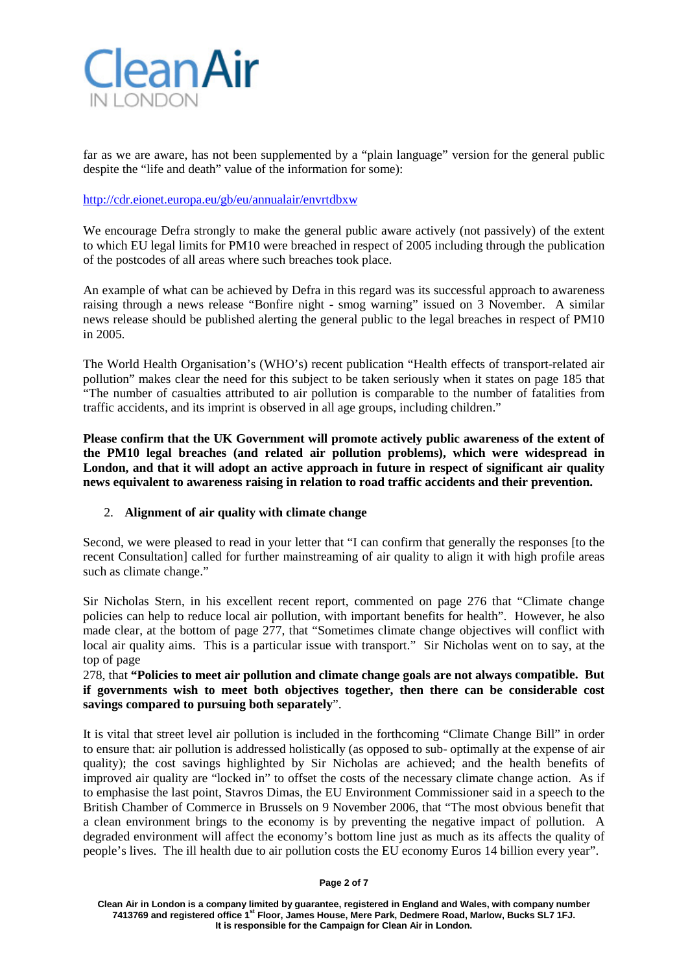

far as we are aware, has not been supplemented by a "plain language" version for the general public despite the "life and death" value of the information for some):

## <http://cdr.eionet.europa.eu/gb/eu/annualair/envrtdbxw>

We encourage Defra strongly to make the general public aware actively (not passively) of the extent to which EU legal limits for PM10 were breached in respect of 2005 including through the publication of the postcodes of all areas where such breaches took place.

An example of what can be achieved by Defra in this regard was its successful approach to awareness raising through a news release "Bonfire night - smog warning" issued on 3 November. A similar news release should be published alerting the general public to the legal breaches in respect of PM10 in 2005.

The World Health Organisation's (WHO's) recent publication "Health effects of transport-related air pollution" makes clear the need for this subject to be taken seriously when it states on page 185 that "The number of casualties attributed to air pollution is comparable to the number of fatalities from traffic accidents, and its imprint is observed in all age groups, including children."

**Please confirm that the UK Government will promote actively public awareness of the extent of the PM10 legal breaches (and related air pollution problems), which were widespread in London, and that it will adopt an active approach in future in respect of significant air quality news equivalent to awareness raising in relation to road traffic accidents and their prevention.**

# 2. **Alignment of air quality with climate change**

Second, we were pleased to read in your letter that "I can confirm that generally the responses [to the recent Consultation] called for further mainstreaming of air quality to align it with high profile areas such as climate change."

Sir Nicholas Stern, in his excellent recent report, commented on page 276 that "Climate change policies can help to reduce local air pollution, with important benefits for health". However, he also made clear, at the bottom of page 277, that "Sometimes climate change objectives will conflict with local air quality aims. This is a particular issue with transport." Sir Nicholas went on to say, at the top of page

## 278, that **"Policies to meet air pollution and climate change goals are not always compatible. But if governments wish to meet both objectives together, then there can be considerable cost savings compared to pursuing both separately**".

It is vital that street level air pollution is included in the forthcoming "Climate Change Bill" in order to ensure that: air pollution is addressed holistically (as opposed to sub- optimally at the expense of air quality); the cost savings highlighted by Sir Nicholas are achieved; and the health benefits of improved air quality are "locked in" to offset the costs of the necessary climate change action. As if to emphasise the last point, Stavros Dimas, the EU Environment Commissioner said in a speech to the British Chamber of Commerce in Brussels on 9 November 2006, that "The most obvious benefit that a clean environment brings to the economy is by preventing the negative impact of pollution. A degraded environment will affect the economy's bottom line just as much as its affects the quality of people's lives. The ill health due to air pollution costs the EU economy Euros 14 billion every year".

**Page 2 of 7**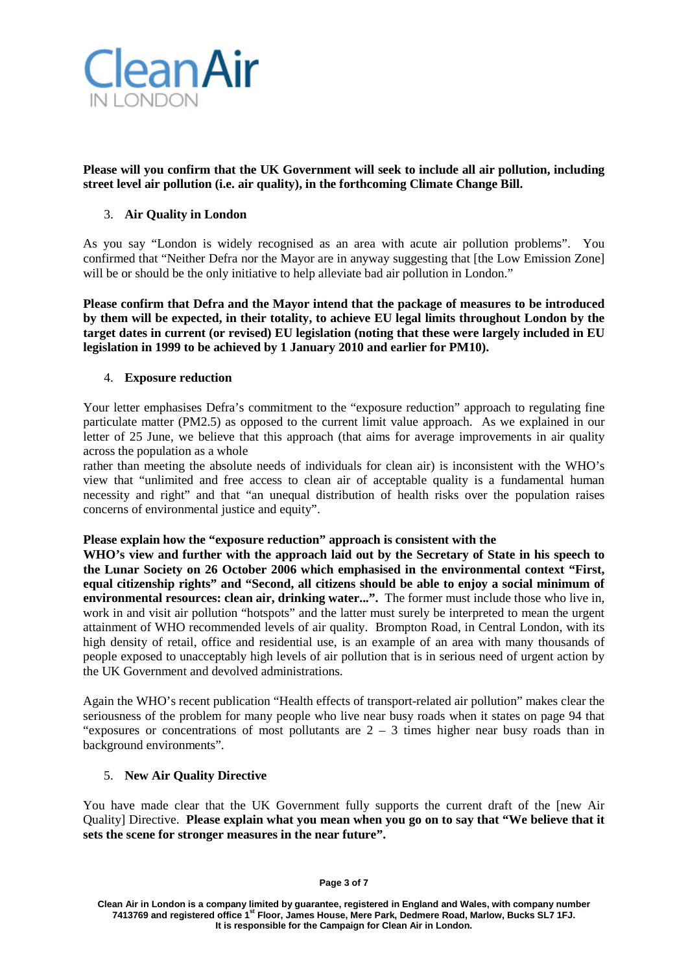

**Please will you confirm that the UK Government will seek to include all air pollution, including street level air pollution (i.e. air quality), in the forthcoming Climate Change Bill.**

# 3. **Air Quality in London**

As you say "London is widely recognised as an area with acute air pollution problems". You confirmed that "Neither Defra nor the Mayor are in anyway suggesting that [the Low Emission Zone] will be or should be the only initiative to help alleviate bad air pollution in London."

**Please confirm that Defra and the Mayor intend that the package of measures to be introduced by them will be expected, in their totality, to achieve EU legal limits throughout London by the target dates in current (or revised) EU legislation (noting that these were largely included in EU legislation in 1999 to be achieved by 1 January 2010 and earlier for PM10).**

## 4. **Exposure reduction**

Your letter emphasises Defra's commitment to the "exposure reduction" approach to regulating fine particulate matter (PM2.5) as opposed to the current limit value approach. As we explained in our letter of 25 June, we believe that this approach (that aims for average improvements in air quality across the population as a whole

rather than meeting the absolute needs of individuals for clean air) is inconsistent with the WHO's view that "unlimited and free access to clean air of acceptable quality is a fundamental human necessity and right" and that "an unequal distribution of health risks over the population raises concerns of environmental justice and equity".

## **Please explain how the "exposure reduction" approach is consistent with the**

**WHO's view and further with the approach laid out by the Secretary of State in his speech to the Lunar Society on 26 October 2006 which emphasised in the environmental context "First, equal citizenship rights" and "Second, all citizens should be able to enjoy a social minimum of environmental resources: clean air, drinking water...".** The former must include those who live in, work in and visit air pollution "hotspots" and the latter must surely be interpreted to mean the urgent attainment of WHO recommended levels of air quality. Brompton Road, in Central London, with its high density of retail, office and residential use, is an example of an area with many thousands of people exposed to unacceptably high levels of air pollution that is in serious need of urgent action by the UK Government and devolved administrations.

Again the WHO's recent publication "Health effects of transport-related air pollution" makes clear the seriousness of the problem for many people who live near busy roads when it states on page 94 that "exposures or concentrations of most pollutants are  $2 - 3$  times higher near busy roads than in background environments".

## 5. **New Air Quality Directive**

You have made clear that the UK Government fully supports the current draft of the [new Air Quality] Directive. **Please explain what you mean when you go on to say that "We believe that it sets the scene for stronger measures in the near future".**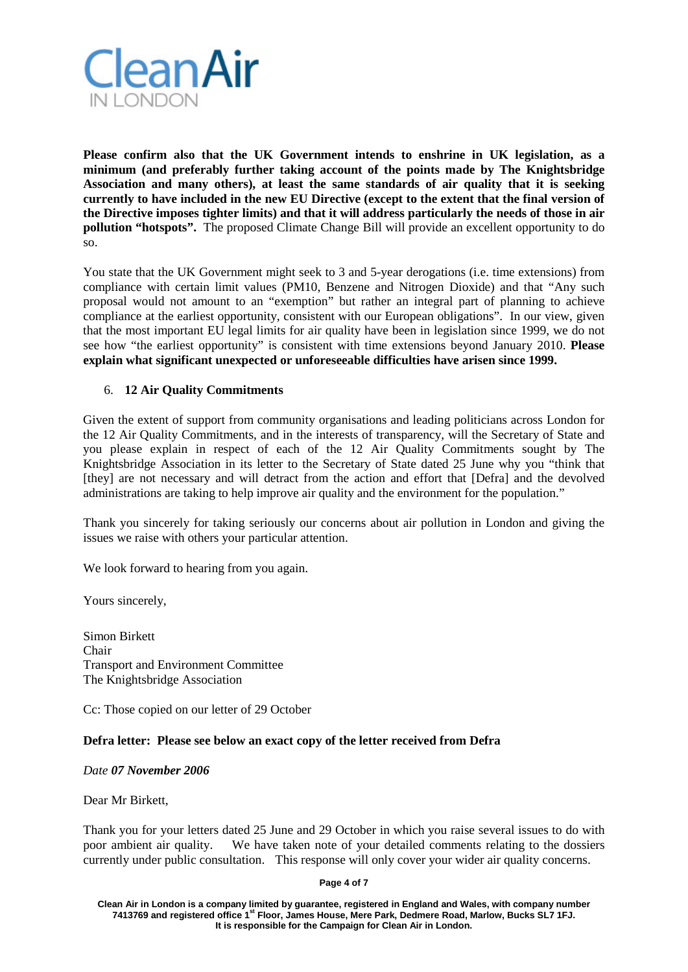

**Please confirm also that the UK Government intends to enshrine in UK legislation, as a minimum (and preferably further taking account of the points made by The Knightsbridge Association and many others), at least the same standards of air quality that it is seeking currently to have included in the new EU Directive (except to the extent that the final version of the Directive imposes tighter limits) and that it will address particularly the needs of those in air pollution "hotspots".** The proposed Climate Change Bill will provide an excellent opportunity to do so.

You state that the UK Government might seek to 3 and 5-year derogations (i.e. time extensions) from compliance with certain limit values (PM10, Benzene and Nitrogen Dioxide) and that "Any such proposal would not amount to an "exemption" but rather an integral part of planning to achieve compliance at the earliest opportunity, consistent with our European obligations". In our view, given that the most important EU legal limits for air quality have been in legislation since 1999, we do not see how "the earliest opportunity" is consistent with time extensions beyond January 2010. **Please explain what significant unexpected or unforeseeable difficulties have arisen since 1999.**

# 6. **12 Air Quality Commitments**

Given the extent of support from community organisations and leading politicians across London for the 12 Air Quality Commitments, and in the interests of transparency, will the Secretary of State and you please explain in respect of each of the 12 Air Quality Commitments sought by The Knightsbridge Association in its letter to the Secretary of State dated 25 June why you "think that [they] are not necessary and will detract from the action and effort that [Defra] and the devolved administrations are taking to help improve air quality and the environment for the population."

Thank you sincerely for taking seriously our concerns about air pollution in London and giving the issues we raise with others your particular attention.

We look forward to hearing from you again.

Yours sincerely,

Simon Birkett Chair Transport and Environment Committee The Knightsbridge Association

Cc: Those copied on our letter of 29 October

## **Defra letter: Please see below an exact copy of the letter received from Defra**

#### *Date 07 November 2006*

Dear Mr Birkett,

Thank you for your letters dated 25 June and 29 October in which you raise several issues to do with poor ambient air quality. We have taken note of your detailed comments relating to the dossiers currently under public consultation. This response will only cover your wider air quality concerns.

#### **Page 4 of 7**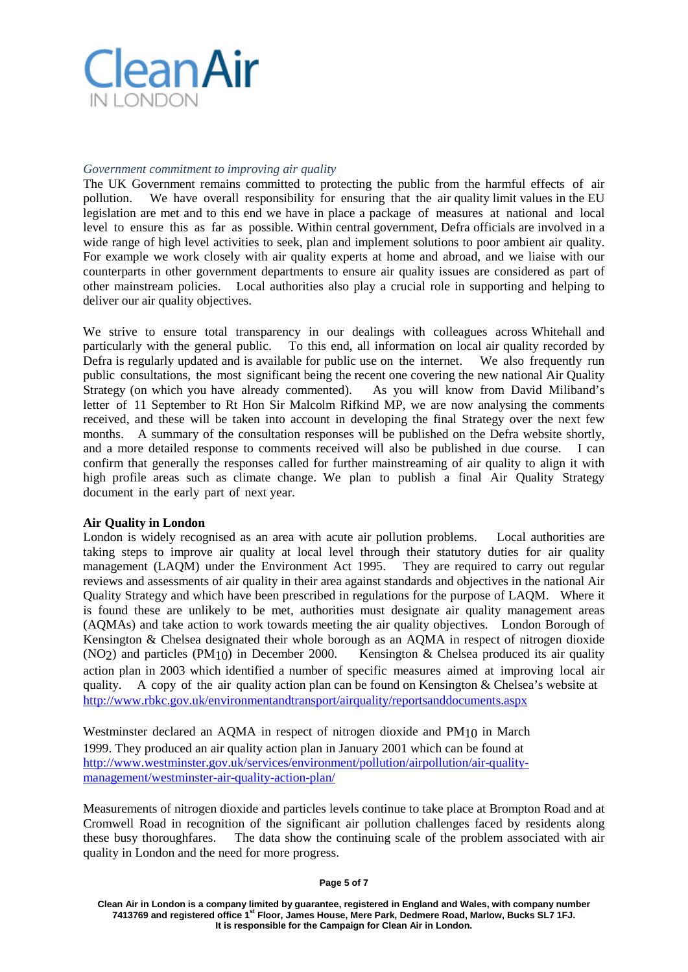

#### *Government commitment to improving air quality*

The UK Government remains committed to protecting the public from the harmful effects of air pollution. We have overall responsibility for ensuring that the air quality limit values in the EU legislation are met and to this end we have in place a package of measures at national and local level to ensure this as far as possible. Within central government, Defra officials are involved in a wide range of high level activities to seek, plan and implement solutions to poor ambient air quality. For example we work closely with air quality experts at home and abroad, and we liaise with our counterparts in other government departments to ensure air quality issues are considered as part of other mainstream policies. Local authorities also play a crucial role in supporting and helping to deliver our air quality objectives.

We strive to ensure total transparency in our dealings with colleagues across Whitehall and particularly with the general public. To this end, all information on local air quality recorded by Defra is regularly updated and is available for public use on the internet. We also frequently run public consultations, the most significant being the recent one covering the new national Air Quality Strategy (on which you have already commented). As you will know from David Miliband's letter of 11 September to Rt Hon Sir Malcolm Rifkind MP, we are now analysing the comments received, and these will be taken into account in developing the final Strategy over the next few months. A summary of the consultation responses will be published on the Defra website shortly, and a more detailed response to comments received will also be published in due course. I can confirm that generally the responses called for further mainstreaming of air quality to align it with high profile areas such as climate change. We plan to publish a final Air Quality Strategy document in the early part of next year.

#### **Air Quality in London**

London is widely recognised as an area with acute air pollution problems. Local authorities are taking steps to improve air quality at local level through their statutory duties for air quality management (LAQM) under the Environment Act 1995. They are required to carry out regular reviews and assessments of air quality in their area against standards and objectives in the national Air Quality Strategy and which have been prescribed in regulations for the purpose of LAQM. Where it is found these are unlikely to be met, authorities must designate air quality management areas (AQMAs) and take action to work towards meeting the air quality objectives. London Borough of Kensington & Chelsea designated their whole borough as an AQMA in respect of nitrogen dioxide  $(NO<sub>2</sub>)$  and particles  $(PM<sub>1</sub>(t))$  in December 2000. Kensington & Chelsea produced its air quality action plan in 2003 which identified a number of specific measures aimed at improving local air quality. A copy of the air quality action plan can be found on Kensington & Chelsea's website at <http://www.rbkc.gov.uk/environmentandtransport/airquality/reportsanddocuments.aspx>

Westminster declared an AQMA in respect of nitrogen dioxide and PM10 in March 1999. They produced an air quality action plan in January 2001 which can be found at [http://www.westminster.gov.uk/services/environment/pollution/airpollution/air-quality](http://www.westminster.gov.uk/services/environment/pollution/airpollution/air-quality-management/westminster-air-quality-action-plan/)[management/westminster-air-quality-action-plan/](http://www.westminster.gov.uk/services/environment/pollution/airpollution/air-quality-management/westminster-air-quality-action-plan/)

Measurements of nitrogen dioxide and particles levels continue to take place at Brompton Road and at Cromwell Road in recognition of the significant air pollution challenges faced by residents along these busy thoroughfares. The data show the continuing scale of the problem associated with air quality in London and the need for more progress.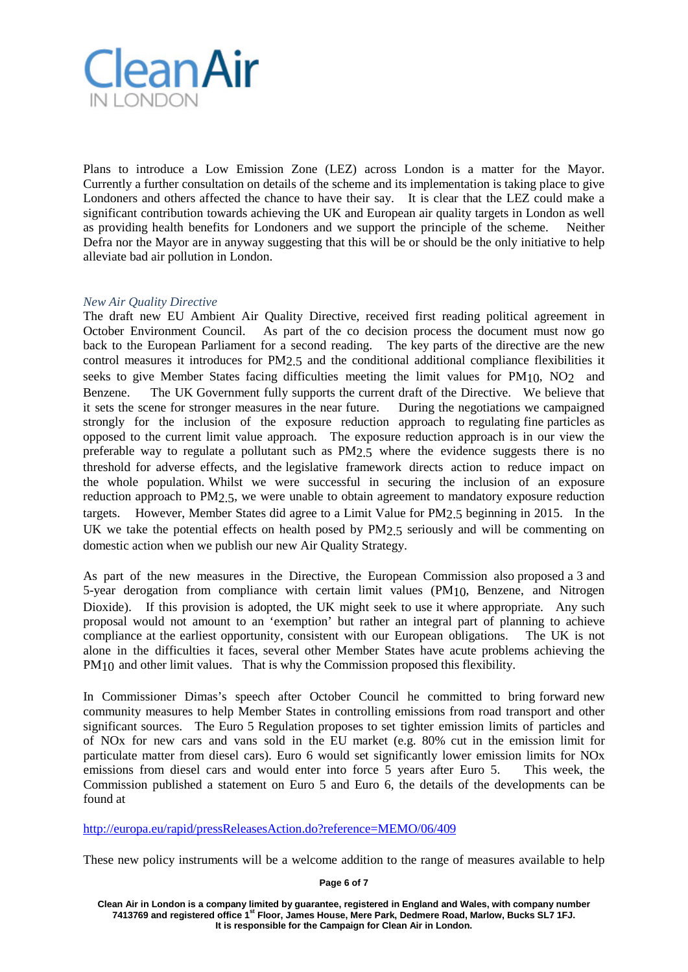

Plans to introduce a Low Emission Zone (LEZ) across London is a matter for the Mayor. Currently a further consultation on details of the scheme and its implementation is taking place to give Londoners and others affected the chance to have their say. It is clear that the LEZ could make a significant contribution towards achieving the UK and European air quality targets in London as well as providing health benefits for Londoners and we support the principle of the scheme. Neither Defra nor the Mayor are in anyway suggesting that this will be or should be the only initiative to help alleviate bad air pollution in London.

## *New Air Quality Directive*

The draft new EU Ambient Air Quality Directive, received first reading political agreement in October Environment Council. As part of the co decision process the document must now go back to the European Parliament for a second reading. The key parts of the directive are the new control measures it introduces for PM2.5 and the conditional additional compliance flexibilities it seeks to give Member States facing difficulties meeting the limit values for  $PM_{10}$ ,  $NO<sub>2</sub>$  and Benzene. The UK Government fully supports the current draft of the Directive. We believe that it sets the scene for stronger measures in the near future. During the negotiations we campaigned strongly for the inclusion of the exposure reduction approach to regulating fine particles as opposed to the current limit value approach. The exposure reduction approach is in our view the preferable way to regulate a pollutant such as PM2.5 where the evidence suggests there is no threshold for adverse effects, and the legislative framework directs action to reduce impact on the whole population. Whilst we were successful in securing the inclusion of an exposure reduction approach to PM2.5, we were unable to obtain agreement to mandatory exposure reduction targets. However, Member States did agree to a Limit Value for PM2.5 beginning in 2015. In the UK we take the potential effects on health posed by PM2.5 seriously and will be commenting on domestic action when we publish our new Air Quality Strategy.

As part of the new measures in the Directive, the European Commission also proposed a 3 and 5-year derogation from compliance with certain limit values (PM10, Benzene, and Nitrogen Dioxide). If this provision is adopted, the UK might seek to use it where appropriate. Any such proposal would not amount to an 'exemption' but rather an integral part of planning to achieve compliance at the earliest opportunity, consistent with our European obligations. The UK is not alone in the difficulties it faces, several other Member States have acute problems achieving the PM<sub>10</sub> and other limit values. That is why the Commission proposed this flexibility.

In Commissioner Dimas's speech after October Council he committed to bring forward new community measures to help Member States in controlling emissions from road transport and other significant sources. The Euro 5 Regulation proposes to set tighter emission limits of particles and of NOx for new cars and vans sold in the EU market (e.g. 80% cut in the emission limit for particulate matter from diesel cars). Euro 6 would set significantly lower emission limits for NOx emissions from diesel cars and would enter into force 5 years after Euro 5. This week, the Commission published a statement on Euro 5 and Euro 6, the details of the developments can be found at

<http://europa.eu/rapid/pressReleasesAction.do?reference=MEMO/06/409>

These new policy instruments will be a welcome addition to the range of measures available to help

**Page 6 of 7**